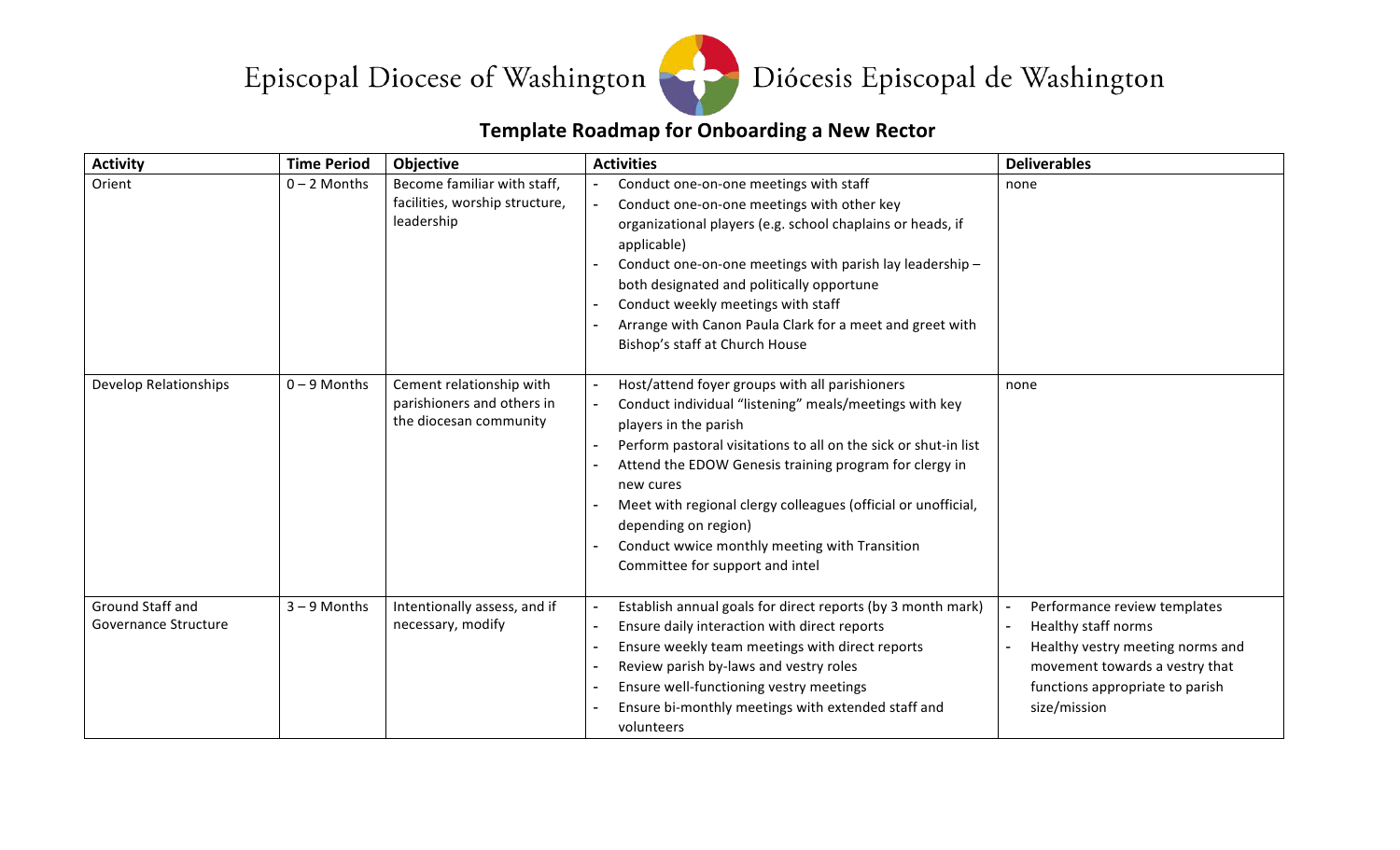



## **Template Roadmap for Onboarding a New Rector**

| <b>Activity</b>                          | <b>Time Period</b> | Objective                                                                        | <b>Activities</b>                                                                                                                                                                                                                                                                                                                                                                                                                                        | <b>Deliverables</b>                                                                                                                                                          |
|------------------------------------------|--------------------|----------------------------------------------------------------------------------|----------------------------------------------------------------------------------------------------------------------------------------------------------------------------------------------------------------------------------------------------------------------------------------------------------------------------------------------------------------------------------------------------------------------------------------------------------|------------------------------------------------------------------------------------------------------------------------------------------------------------------------------|
| Orient                                   | $0 - 2$ Months     | Become familiar with staff,<br>facilities, worship structure,<br>leadership      | Conduct one-on-one meetings with staff<br>Conduct one-on-one meetings with other key<br>$\blacksquare$<br>organizational players (e.g. school chaplains or heads, if<br>applicable)<br>Conduct one-on-one meetings with parish lay leadership -<br>both designated and politically opportune<br>Conduct weekly meetings with staff<br>Arrange with Canon Paula Clark for a meet and greet with<br>Bishop's staff at Church House                         | none                                                                                                                                                                         |
| <b>Develop Relationships</b>             | $0 - 9$ Months     | Cement relationship with<br>parishioners and others in<br>the diocesan community | Host/attend foyer groups with all parishioners<br>Conduct individual "listening" meals/meetings with key<br>players in the parish<br>Perform pastoral visitations to all on the sick or shut-in list<br>Attend the EDOW Genesis training program for clergy in<br>new cures<br>Meet with regional clergy colleagues (official or unofficial,<br>depending on region)<br>Conduct wwice monthly meeting with Transition<br>Committee for support and intel | none                                                                                                                                                                         |
| Ground Staff and<br>Governance Structure | $3 - 9$ Months     | Intentionally assess, and if<br>necessary, modify                                | Establish annual goals for direct reports (by 3 month mark)<br>Ensure daily interaction with direct reports<br>Ensure weekly team meetings with direct reports<br>Review parish by-laws and vestry roles<br>Ensure well-functioning vestry meetings<br>Ensure bi-monthly meetings with extended staff and<br>volunteers                                                                                                                                  | Performance review templates<br>Healthy staff norms<br>Healthy vestry meeting norms and<br>movement towards a vestry that<br>functions appropriate to parish<br>size/mission |